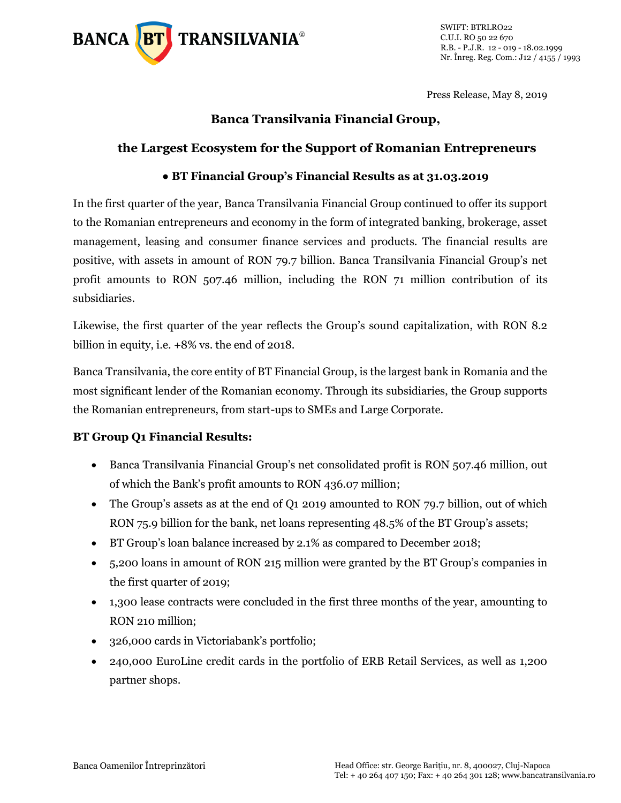

Press Release, May 8, 2019

## **Banca Transilvania Financial Group,**

### **the Largest Ecosystem for the Support of Romanian Entrepreneurs**

## **● BT Financial Group's Financial Results as at 31.03.2019**

In the first quarter of the year, Banca Transilvania Financial Group continued to offer its support to the Romanian entrepreneurs and economy in the form of integrated banking, brokerage, asset management, leasing and consumer finance services and products. The financial results are positive, with assets in amount of RON 79.7 billion. Banca Transilvania Financial Group's net profit amounts to RON 507.46 million, including the RON 71 million contribution of its subsidiaries.

Likewise, the first quarter of the year reflects the Group's sound capitalization, with RON 8.2 billion in equity, i.e. +8% vs. the end of 2018.

Banca Transilvania, the core entity of BT Financial Group, is the largest bank in Romania and the most significant lender of the Romanian economy. Through its subsidiaries, the Group supports the Romanian entrepreneurs, from start-ups to SMEs and Large Corporate.

### **BT Group Q1 Financial Results:**

- Banca Transilvania Financial Group's net consolidated profit is RON 507.46 million, out of which the Bank's profit amounts to RON 436.07 million;
- The Group's assets as at the end of Q1 2019 amounted to RON 79.7 billion, out of which RON 75.9 billion for the bank, net loans representing 48.5% of the BT Group's assets;
- BT Group's loan balance increased by 2.1% as compared to December 2018;
- 5,200 loans in amount of RON 215 million were granted by the BT Group's companies in the first quarter of 2019;
- 1,300 lease contracts were concluded in the first three months of the year, amounting to RON 210 million;
- 326,000 cards in Victoriabank's portfolio;
- 240,000 EuroLine credit cards in the portfolio of ERB Retail Services, as well as 1,200 partner shops.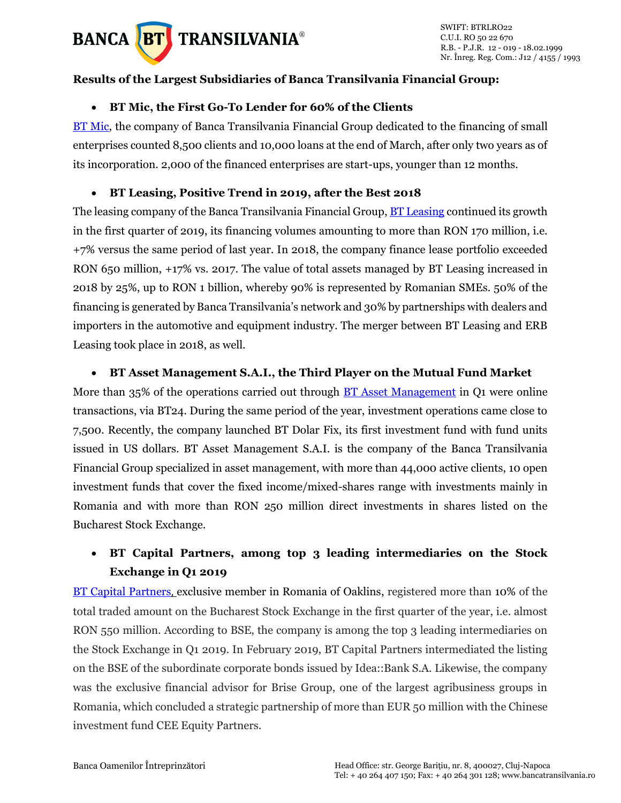

### **Results of the Largest Subsidiaries of Banca Transilvania Financial Group:**

#### • **BT Mic, the First Go-To Lender for 60% of the Clients**

[BT Mi](https://www.bancatransilvania.ro/_bt-mic/)c, the company of Banca Transilvania Financial Group dedicated to the financing of small enterprises counted 8,500 clients and 10,000 loans at the end of March, after only two years as of its incorporation. 2,000 of the financed enterprises are start-ups, younger than 12 months.

#### • **BT Leasing, Positive Trend in 2019, after the Best 2018**

The leasing company of the Banca Transilvania Financial Group, **BT Leasing continued its growth** in the first quarter of 2019, its financing volumes amounting to more than RON 170 million, i.e. +7% versus the same period of last year. In 2018, the company finance lease portfolio exceeded RON 650 million, +17% vs. 2017. The value of total assets managed by BT Leasing increased in 2018 by 25%, up to RON 1 billion, whereby 90% is represented by Romanian SMEs. 50% of the financing is generated by Banca Transilvania's network and 30% by partnerships with dealers and importers in the automotive and equipment industry. The merger between BT Leasing and ERB Leasing took place in 2018, as well.

#### • **BT Asset Management S.A.I., the Third Player on the Mutual Fund Market**

More than 35% of the operations carried out through [BT Asset Management](https://www.btassetmanagement.ro/) in Q1 were online transactions, via BT24. During the same period of the year, investment operations came close to 7,500. Recently, the company launched BT Dolar Fix, its first investment fund with fund units issued in US dollars. BT Asset Management S.A.I. is the company of the Banca Transilvania Financial Group specialized in asset management, with more than 44,000 active clients, 10 open investment funds that cover the fixed income/mixed-shares range with investments mainly in Romania and with more than RON 250 million direct investments in shares listed on the Bucharest Stock Exchange.

# • **BT Capital Partners, among top 3 leading intermediaries on the Stock Exchange in Q1 2019**

[BT Capital Partners](https://btcapitalpartners.ro/), exclusive member in Romania of Oaklins, registered more than 10% of the total traded amount on the Bucharest Stock Exchange in the first quarter of the year, i.e. almost RON 550 million. According to BSE, the company is among the top 3 leading intermediaries on the Stock Exchange in Q1 2019. In February 2019, BT Capital Partners intermediated the listing on the BSE of the subordinate corporate bonds issued by Idea::Bank S.A. Likewise, the company was the exclusive financial advisor for Brise Group, one of the largest agribusiness groups in Romania, which concluded a strategic partnership of more than EUR 50 million with the Chinese investment fund CEE Equity Partners.